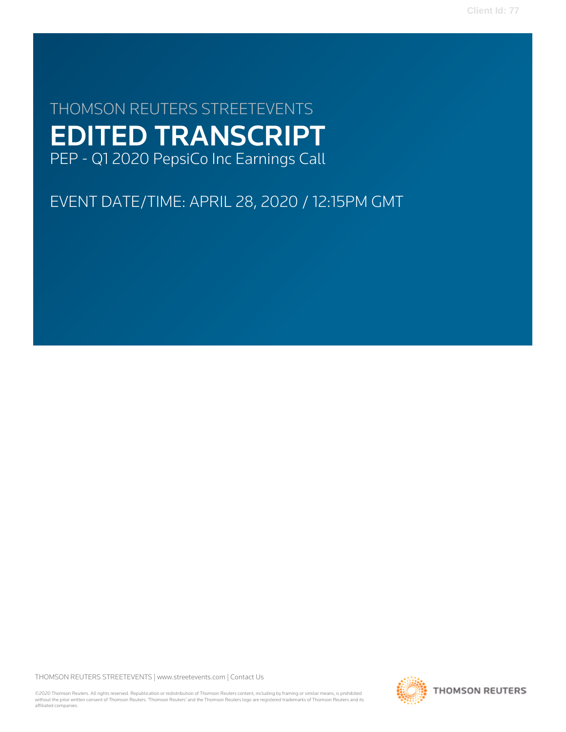# THOMSON REUTERS STREETEVENTS EDITED TRANSCRIPT PEP - Q1 2020 PepsiCo Inc Earnings Call

EVENT DATE/TIME: APRIL 28, 2020 / 12:15PM GMT

THOMSON REUTERS STREETEVENTS | [www.streetevents.com](http://www.streetevents.com) | [Contact Us](http://www010.streetevents.com/contact.asp)

©2020 Thomson Reuters. All rights reserved. Republication or redistribution of Thomson Reuters content, including by framing or similar means, is prohibited without the prior written consent of Thomson Reuters. 'Thomson Reuters' and the Thomson Reuters logo are registered trademarks of Thomson Reuters and its affiliated companies.

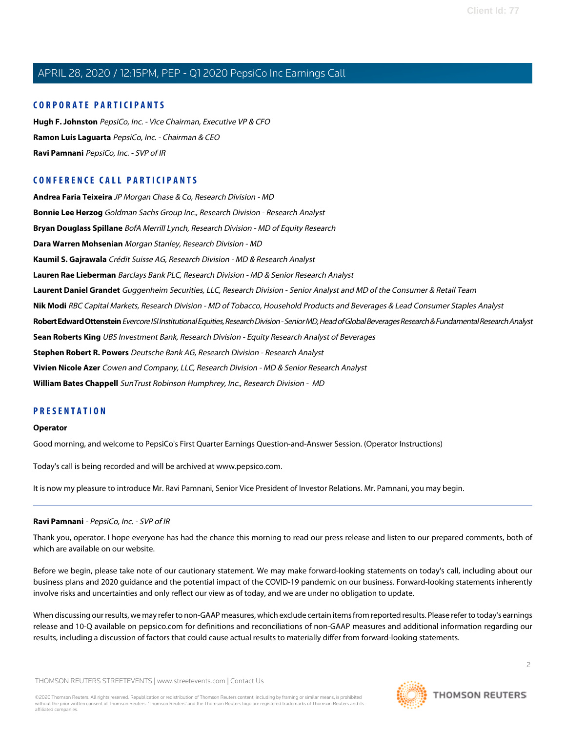# **CORPORATE PARTICIPANTS**

**[Hugh F. Johnston](#page-5-0)** PepsiCo, Inc. - Vice Chairman, Executive VP & CFO **[Ramon Luis Laguarta](#page-2-0)** PepsiCo, Inc. - Chairman & CEO **[Ravi Pamnani](#page-1-0)** PepsiCo, Inc. - SVP of IR

# **CONFERENCE CALL PARTICIPANTS**

**[Andrea Faria Teixeira](#page-4-0)** JP Morgan Chase & Co, Research Division - MD **[Bonnie Lee Herzog](#page-3-0)** Goldman Sachs Group Inc., Research Division - Research Analyst **[Bryan Douglass Spillane](#page-2-1)** BofA Merrill Lynch, Research Division - MD of Equity Research **[Dara Warren Mohsenian](#page-2-2)** Morgan Stanley, Research Division - MD **[Kaumil S. Gajrawala](#page-5-1)** Crédit Suisse AG, Research Division - MD & Research Analyst **[Lauren Rae Lieberman](#page-6-0)** Barclays Bank PLC, Research Division - MD & Senior Research Analyst **[Laurent Daniel Grandet](#page-9-0)** Guggenheim Securities, LLC, Research Division - Senior Analyst and MD of the Consumer & Retail Team **[Nik Modi](#page-4-1)** RBC Capital Markets, Research Division - MD of Tobacco, Household Products and Beverages & Lead Consumer Staples Analyst **[Robert Edward Ottenstein](#page-7-0)** Evercore ISI Institutional Equities, Research Division - Senior MD, Head of Global Beverages Research & Fundamental Research Analyst **[Sean Roberts King](#page-10-0)** UBS Investment Bank, Research Division - Equity Research Analyst of Beverages **[Stephen Robert R. Powers](#page-8-0)** Deutsche Bank AG, Research Division - Research Analyst **[Vivien Nicole Azer](#page-7-1)** Cowen and Company, LLC, Research Division - MD & Senior Research Analyst **[William Bates Chappell](#page-10-1)** SunTrust Robinson Humphrey, Inc., Research Division - MD

# **PRESENTATION**

#### **Operator**

Good morning, and welcome to PepsiCo's First Quarter Earnings Question-and-Answer Session. (Operator Instructions)

<span id="page-1-0"></span>Today's call is being recorded and will be archived at www.pepsico.com.

It is now my pleasure to introduce Mr. Ravi Pamnani, Senior Vice President of Investor Relations. Mr. Pamnani, you may begin.

## **Ravi Pamnani** - PepsiCo, Inc. - SVP of IR

Thank you, operator. I hope everyone has had the chance this morning to read our press release and listen to our prepared comments, both of which are available on our website.

Before we begin, please take note of our cautionary statement. We may make forward-looking statements on today's call, including about our business plans and 2020 guidance and the potential impact of the COVID-19 pandemic on our business. Forward-looking statements inherently involve risks and uncertainties and only reflect our view as of today, and we are under no obligation to update.

When discussing our results, we may refer to non-GAAP measures, which exclude certain items from reported results. Please refer to today's earnings release and 10-Q available on pepsico.com for definitions and reconciliations of non-GAAP measures and additional information regarding our results, including a discussion of factors that could cause actual results to materially differ from forward-looking statements.

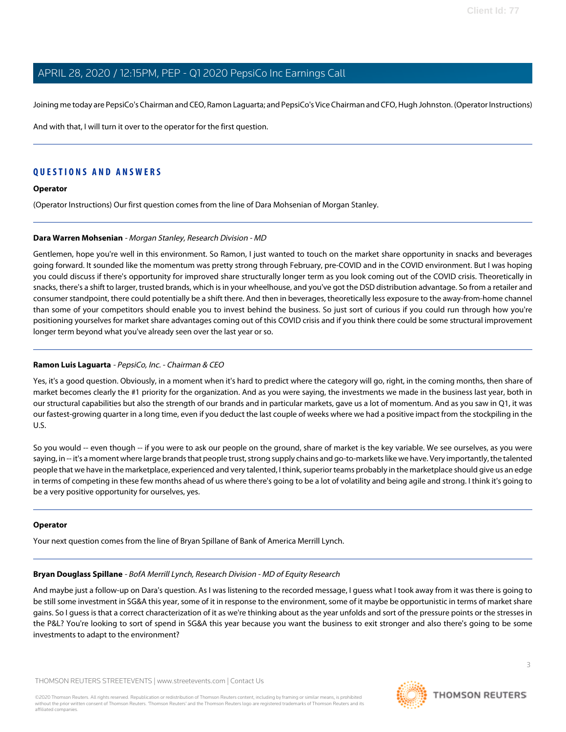Joining me today are PepsiCo's Chairman and CEO, Ramon Laguarta; and PepsiCo's Vice Chairman and CFO, Hugh Johnston. (Operator Instructions)

And with that, I will turn it over to the operator for the first question.

# **QUESTIONS AND ANSWERS**

#### **Operator**

<span id="page-2-2"></span>(Operator Instructions) Our first question comes from the line of Dara Mohsenian of Morgan Stanley.

#### **Dara Warren Mohsenian** - Morgan Stanley, Research Division - MD

Gentlemen, hope you're well in this environment. So Ramon, I just wanted to touch on the market share opportunity in snacks and beverages going forward. It sounded like the momentum was pretty strong through February, pre-COVID and in the COVID environment. But I was hoping you could discuss if there's opportunity for improved share structurally longer term as you look coming out of the COVID crisis. Theoretically in snacks, there's a shift to larger, trusted brands, which is in your wheelhouse, and you've got the DSD distribution advantage. So from a retailer and consumer standpoint, there could potentially be a shift there. And then in beverages, theoretically less exposure to the away-from-home channel than some of your competitors should enable you to invest behind the business. So just sort of curious if you could run through how you're positioning yourselves for market share advantages coming out of this COVID crisis and if you think there could be some structural improvement longer term beyond what you've already seen over the last year or so.

#### <span id="page-2-0"></span>**Ramon Luis Laguarta** - PepsiCo, Inc. - Chairman & CEO

Yes, it's a good question. Obviously, in a moment when it's hard to predict where the category will go, right, in the coming months, then share of market becomes clearly the #1 priority for the organization. And as you were saying, the investments we made in the business last year, both in our structural capabilities but also the strength of our brands and in particular markets, gave us a lot of momentum. And as you saw in Q1, it was our fastest-growing quarter in a long time, even if you deduct the last couple of weeks where we had a positive impact from the stockpiling in the U.S.

So you would -- even though -- if you were to ask our people on the ground, share of market is the key variable. We see ourselves, as you were saying, in -- it's a moment where large brands that people trust, strong supply chains and go-to-markets like we have. Very importantly, the talented people that we have in the marketplace, experienced and very talented, I think, superior teams probably in the marketplace should give us an edge in terms of competing in these few months ahead of us where there's going to be a lot of volatility and being agile and strong. I think it's going to be a very positive opportunity for ourselves, yes.

#### <span id="page-2-1"></span>**Operator**

Your next question comes from the line of Bryan Spillane of Bank of America Merrill Lynch.

## **Bryan Douglass Spillane** - BofA Merrill Lynch, Research Division - MD of Equity Research

And maybe just a follow-up on Dara's question. As I was listening to the recorded message, I guess what I took away from it was there is going to be still some investment in SG&A this year, some of it in response to the environment, some of it maybe be opportunistic in terms of market share gains. So I guess is that a correct characterization of it as we're thinking about as the year unfolds and sort of the pressure points or the stresses in the P&L? You're looking to sort of spend in SG&A this year because you want the business to exit stronger and also there's going to be some investments to adapt to the environment?

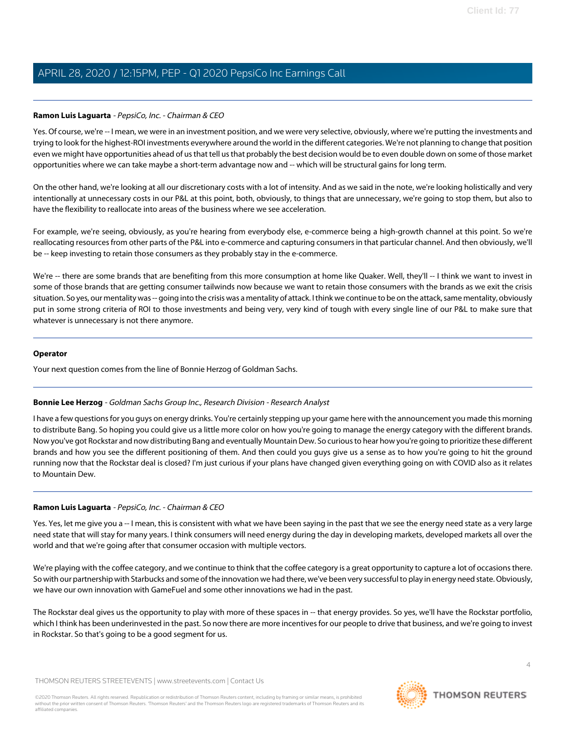#### **Ramon Luis Laguarta** - PepsiCo, Inc. - Chairman & CEO

Yes. Of course, we're -- I mean, we were in an investment position, and we were very selective, obviously, where we're putting the investments and trying to look for the highest-ROI investments everywhere around the world in the different categories. We're not planning to change that position even we might have opportunities ahead of us that tell us that probably the best decision would be to even double down on some of those market opportunities where we can take maybe a short-term advantage now and -- which will be structural gains for long term.

On the other hand, we're looking at all our discretionary costs with a lot of intensity. And as we said in the note, we're looking holistically and very intentionally at unnecessary costs in our P&L at this point, both, obviously, to things that are unnecessary, we're going to stop them, but also to have the flexibility to reallocate into areas of the business where we see acceleration.

For example, we're seeing, obviously, as you're hearing from everybody else, e-commerce being a high-growth channel at this point. So we're reallocating resources from other parts of the P&L into e-commerce and capturing consumers in that particular channel. And then obviously, we'll be -- keep investing to retain those consumers as they probably stay in the e-commerce.

We're -- there are some brands that are benefiting from this more consumption at home like Quaker. Well, they'll -- I think we want to invest in some of those brands that are getting consumer tailwinds now because we want to retain those consumers with the brands as we exit the crisis situation. So yes, our mentality was -- going into the crisis was a mentality of attack. I think we continue to be on the attack, same mentality, obviously put in some strong criteria of ROI to those investments and being very, very kind of tough with every single line of our P&L to make sure that whatever is unnecessary is not there anymore.

#### **Operator**

<span id="page-3-0"></span>Your next question comes from the line of Bonnie Herzog of Goldman Sachs.

## **Bonnie Lee Herzog** - Goldman Sachs Group Inc., Research Division - Research Analyst

I have a few questions for you guys on energy drinks. You're certainly stepping up your game here with the announcement you made this morning to distribute Bang. So hoping you could give us a little more color on how you're going to manage the energy category with the different brands. Now you've got Rockstar and now distributing Bang and eventually Mountain Dew. So curious to hear how you're going to prioritize these different brands and how you see the different positioning of them. And then could you guys give us a sense as to how you're going to hit the ground running now that the Rockstar deal is closed? I'm just curious if your plans have changed given everything going on with COVID also as it relates to Mountain Dew.

## **Ramon Luis Laguarta** - PepsiCo, Inc. - Chairman & CEO

Yes. Yes, let me give you a -- I mean, this is consistent with what we have been saying in the past that we see the energy need state as a very large need state that will stay for many years. I think consumers will need energy during the day in developing markets, developed markets all over the world and that we're going after that consumer occasion with multiple vectors.

We're playing with the coffee category, and we continue to think that the coffee category is a great opportunity to capture a lot of occasions there. So with our partnership with Starbucks and some of the innovation we had there, we've been very successful to play in energy need state. Obviously, we have our own innovation with GameFuel and some other innovations we had in the past.

The Rockstar deal gives us the opportunity to play with more of these spaces in -- that energy provides. So yes, we'll have the Rockstar portfolio, which I think has been underinvested in the past. So now there are more incentives for our people to drive that business, and we're going to invest in Rockstar. So that's going to be a good segment for us.

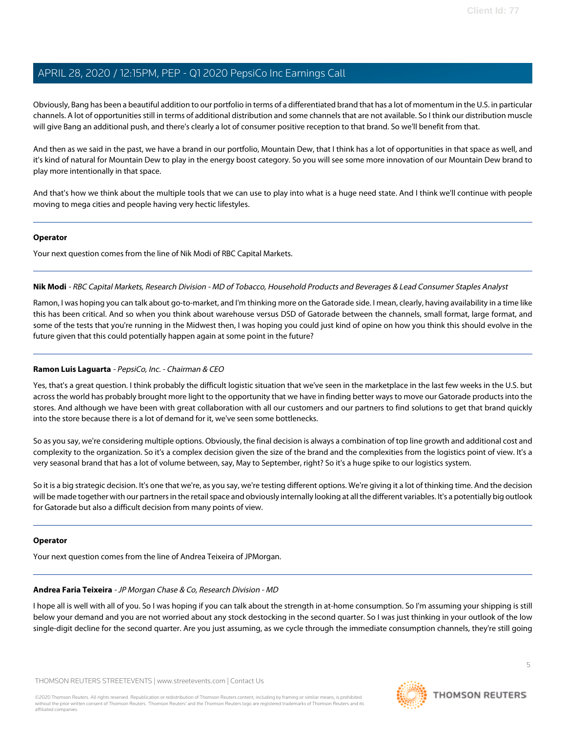Obviously, Bang has been a beautiful addition to our portfolio in terms of a differentiated brand that has a lot of momentum in the U.S. in particular channels. A lot of opportunities still in terms of additional distribution and some channels that are not available. So I think our distribution muscle will give Bang an additional push, and there's clearly a lot of consumer positive reception to that brand. So we'll benefit from that.

And then as we said in the past, we have a brand in our portfolio, Mountain Dew, that I think has a lot of opportunities in that space as well, and it's kind of natural for Mountain Dew to play in the energy boost category. So you will see some more innovation of our Mountain Dew brand to play more intentionally in that space.

And that's how we think about the multiple tools that we can use to play into what is a huge need state. And I think we'll continue with people moving to mega cities and people having very hectic lifestyles.

#### **Operator**

<span id="page-4-1"></span>Your next question comes from the line of Nik Modi of RBC Capital Markets.

#### **Nik Modi** - RBC Capital Markets, Research Division - MD of Tobacco, Household Products and Beverages & Lead Consumer Staples Analyst

Ramon, I was hoping you can talk about go-to-market, and I'm thinking more on the Gatorade side. I mean, clearly, having availability in a time like this has been critical. And so when you think about warehouse versus DSD of Gatorade between the channels, small format, large format, and some of the tests that you're running in the Midwest then, I was hoping you could just kind of opine on how you think this should evolve in the future given that this could potentially happen again at some point in the future?

#### **Ramon Luis Laguarta** - PepsiCo, Inc. - Chairman & CEO

Yes, that's a great question. I think probably the difficult logistic situation that we've seen in the marketplace in the last few weeks in the U.S. but across the world has probably brought more light to the opportunity that we have in finding better ways to move our Gatorade products into the stores. And although we have been with great collaboration with all our customers and our partners to find solutions to get that brand quickly into the store because there is a lot of demand for it, we've seen some bottlenecks.

So as you say, we're considering multiple options. Obviously, the final decision is always a combination of top line growth and additional cost and complexity to the organization. So it's a complex decision given the size of the brand and the complexities from the logistics point of view. It's a very seasonal brand that has a lot of volume between, say, May to September, right? So it's a huge spike to our logistics system.

So it is a big strategic decision. It's one that we're, as you say, we're testing different options. We're giving it a lot of thinking time. And the decision will be made together with our partners in the retail space and obviously internally looking at all the different variables. It's a potentially big outlook for Gatorade but also a difficult decision from many points of view.

#### <span id="page-4-0"></span>**Operator**

Your next question comes from the line of Andrea Teixeira of JPMorgan.

## **Andrea Faria Teixeira** - JP Morgan Chase & Co, Research Division - MD

I hope all is well with all of you. So I was hoping if you can talk about the strength in at-home consumption. So I'm assuming your shipping is still below your demand and you are not worried about any stock destocking in the second quarter. So I was just thinking in your outlook of the low single-digit decline for the second quarter. Are you just assuming, as we cycle through the immediate consumption channels, they're still going

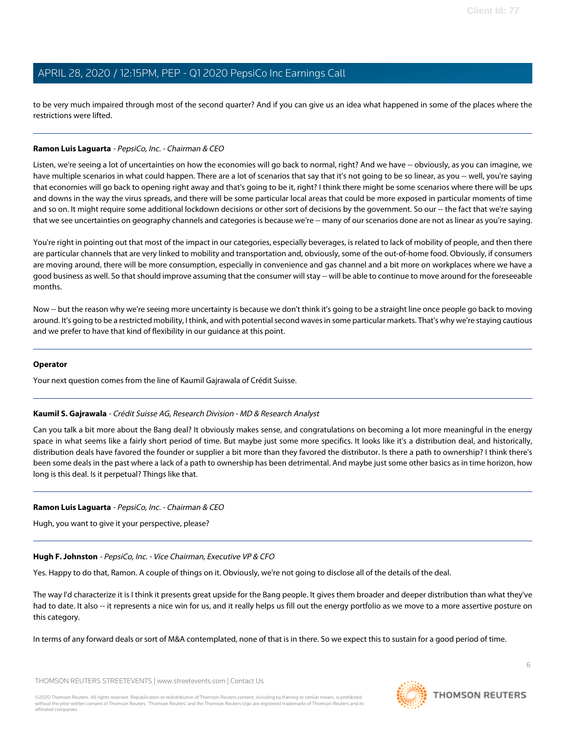to be very much impaired through most of the second quarter? And if you can give us an idea what happened in some of the places where the restrictions were lifted.

#### **Ramon Luis Laguarta** - PepsiCo, Inc. - Chairman & CEO

Listen, we're seeing a lot of uncertainties on how the economies will go back to normal, right? And we have -- obviously, as you can imagine, we have multiple scenarios in what could happen. There are a lot of scenarios that say that it's not going to be so linear, as you -- well, you're saying that economies will go back to opening right away and that's going to be it, right? I think there might be some scenarios where there will be ups and downs in the way the virus spreads, and there will be some particular local areas that could be more exposed in particular moments of time and so on. It might require some additional lockdown decisions or other sort of decisions by the government. So our -- the fact that we're saying that we see uncertainties on geography channels and categories is because we're -- many of our scenarios done are not as linear as you're saying.

You're right in pointing out that most of the impact in our categories, especially beverages, is related to lack of mobility of people, and then there are particular channels that are very linked to mobility and transportation and, obviously, some of the out-of-home food. Obviously, if consumers are moving around, there will be more consumption, especially in convenience and gas channel and a bit more on workplaces where we have a good business as well. So that should improve assuming that the consumer will stay -- will be able to continue to move around for the foreseeable months.

Now -- but the reason why we're seeing more uncertainty is because we don't think it's going to be a straight line once people go back to moving around. It's going to be a restricted mobility, I think, and with potential second waves in some particular markets. That's why we're staying cautious and we prefer to have that kind of flexibility in our guidance at this point.

#### **Operator**

<span id="page-5-1"></span>Your next question comes from the line of Kaumil Gajrawala of Crédit Suisse.

#### **Kaumil S. Gajrawala** - Crédit Suisse AG, Research Division - MD & Research Analyst

Can you talk a bit more about the Bang deal? It obviously makes sense, and congratulations on becoming a lot more meaningful in the energy space in what seems like a fairly short period of time. But maybe just some more specifics. It looks like it's a distribution deal, and historically, distribution deals have favored the founder or supplier a bit more than they favored the distributor. Is there a path to ownership? I think there's been some deals in the past where a lack of a path to ownership has been detrimental. And maybe just some other basics as in time horizon, how long is this deal. Is it perpetual? Things like that.

#### <span id="page-5-0"></span>**Ramon Luis Laguarta** - PepsiCo, Inc. - Chairman & CEO

Hugh, you want to give it your perspective, please?

# **Hugh F. Johnston** - PepsiCo, Inc. - Vice Chairman, Executive VP & CFO

Yes. Happy to do that, Ramon. A couple of things on it. Obviously, we're not going to disclose all of the details of the deal.

The way I'd characterize it is I think it presents great upside for the Bang people. It gives them broader and deeper distribution than what they've had to date. It also -- it represents a nice win for us, and it really helps us fill out the energy portfolio as we move to a more assertive posture on this category.

In terms of any forward deals or sort of M&A contemplated, none of that is in there. So we expect this to sustain for a good period of time.

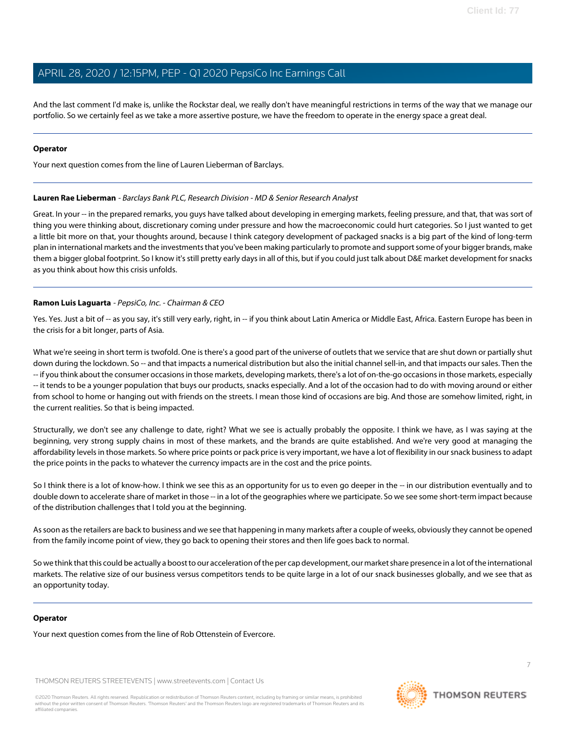And the last comment I'd make is, unlike the Rockstar deal, we really don't have meaningful restrictions in terms of the way that we manage our portfolio. So we certainly feel as we take a more assertive posture, we have the freedom to operate in the energy space a great deal.

#### **Operator**

<span id="page-6-0"></span>Your next question comes from the line of Lauren Lieberman of Barclays.

#### **Lauren Rae Lieberman** - Barclays Bank PLC, Research Division - MD & Senior Research Analyst

Great. In your -- in the prepared remarks, you guys have talked about developing in emerging markets, feeling pressure, and that, that was sort of thing you were thinking about, discretionary coming under pressure and how the macroeconomic could hurt categories. So I just wanted to get a little bit more on that, your thoughts around, because I think category development of packaged snacks is a big part of the kind of long-term plan in international markets and the investments that you've been making particularly to promote and support some of your bigger brands, make them a bigger global footprint. So I know it's still pretty early days in all of this, but if you could just talk about D&E market development for snacks as you think about how this crisis unfolds.

## **Ramon Luis Laguarta** - PepsiCo, Inc. - Chairman & CEO

Yes. Yes. Just a bit of -- as you say, it's still very early, right, in -- if you think about Latin America or Middle East, Africa. Eastern Europe has been in the crisis for a bit longer, parts of Asia.

What we're seeing in short term is twofold. One is there's a good part of the universe of outlets that we service that are shut down or partially shut down during the lockdown. So -- and that impacts a numerical distribution but also the initial channel sell-in, and that impacts our sales. Then the -- if you think about the consumer occasions in those markets, developing markets, there's a lot of on-the-go occasions in those markets, especially -- it tends to be a younger population that buys our products, snacks especially. And a lot of the occasion had to do with moving around or either from school to home or hanging out with friends on the streets. I mean those kind of occasions are big. And those are somehow limited, right, in the current realities. So that is being impacted.

Structurally, we don't see any challenge to date, right? What we see is actually probably the opposite. I think we have, as I was saying at the beginning, very strong supply chains in most of these markets, and the brands are quite established. And we're very good at managing the affordability levels in those markets. So where price points or pack price is very important, we have a lot of flexibility in our snack business to adapt the price points in the packs to whatever the currency impacts are in the cost and the price points.

So I think there is a lot of know-how. I think we see this as an opportunity for us to even go deeper in the -- in our distribution eventually and to double down to accelerate share of market in those -- in a lot of the geographies where we participate. So we see some short-term impact because of the distribution challenges that I told you at the beginning.

As soon as the retailers are back to business and we see that happening in many markets after a couple of weeks, obviously they cannot be opened from the family income point of view, they go back to opening their stores and then life goes back to normal.

So we think that this could be actually a boost to our acceleration of the per cap development, our market share presence in a lot of the international markets. The relative size of our business versus competitors tends to be quite large in a lot of our snack businesses globally, and we see that as an opportunity today.

#### **Operator**

Your next question comes from the line of Rob Ottenstein of Evercore.

THOMSON REUTERS STREETEVENTS | [www.streetevents.com](http://www.streetevents.com) | [Contact Us](http://www010.streetevents.com/contact.asp)

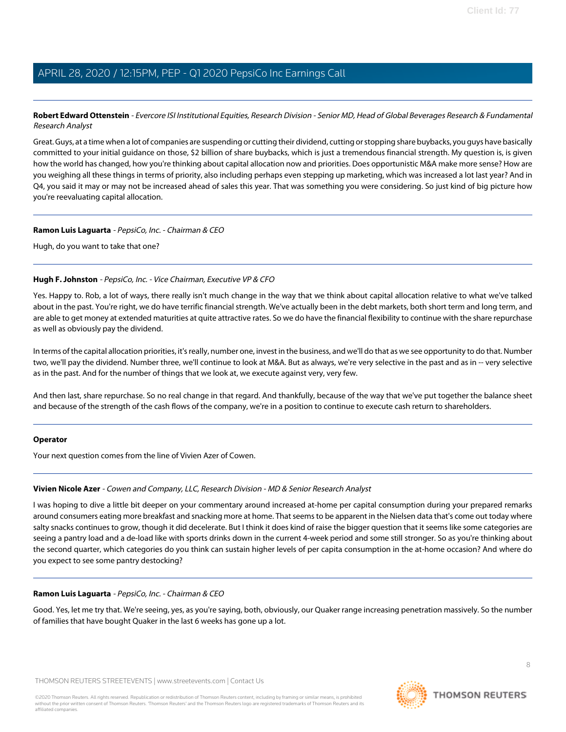<span id="page-7-0"></span>**Robert Edward Ottenstein** - Evercore ISI Institutional Equities, Research Division - Senior MD, Head of Global Beverages Research & Fundamental Research Analyst

Great. Guys, at a time when a lot of companies are suspending or cutting their dividend, cutting or stopping share buybacks, you guys have basically committed to your initial guidance on those, \$2 billion of share buybacks, which is just a tremendous financial strength. My question is, is given how the world has changed, how you're thinking about capital allocation now and priorities. Does opportunistic M&A make more sense? How are you weighing all these things in terms of priority, also including perhaps even stepping up marketing, which was increased a lot last year? And in Q4, you said it may or may not be increased ahead of sales this year. That was something you were considering. So just kind of big picture how you're reevaluating capital allocation.

#### **Ramon Luis Laguarta** - PepsiCo, Inc. - Chairman & CEO

Hugh, do you want to take that one?

#### **Hugh F. Johnston** - PepsiCo, Inc. - Vice Chairman, Executive VP & CFO

Yes. Happy to. Rob, a lot of ways, there really isn't much change in the way that we think about capital allocation relative to what we've talked about in the past. You're right, we do have terrific financial strength. We've actually been in the debt markets, both short term and long term, and are able to get money at extended maturities at quite attractive rates. So we do have the financial flexibility to continue with the share repurchase as well as obviously pay the dividend.

In terms of the capital allocation priorities, it's really, number one, invest in the business, and we'll do that as we see opportunity to do that. Number two, we'll pay the dividend. Number three, we'll continue to look at M&A. But as always, we're very selective in the past and as in -- very selective as in the past. And for the number of things that we look at, we execute against very, very few.

And then last, share repurchase. So no real change in that regard. And thankfully, because of the way that we've put together the balance sheet and because of the strength of the cash flows of the company, we're in a position to continue to execute cash return to shareholders.

#### <span id="page-7-1"></span>**Operator**

Your next question comes from the line of Vivien Azer of Cowen.

# **Vivien Nicole Azer** - Cowen and Company, LLC, Research Division - MD & Senior Research Analyst

I was hoping to dive a little bit deeper on your commentary around increased at-home per capital consumption during your prepared remarks around consumers eating more breakfast and snacking more at home. That seems to be apparent in the Nielsen data that's come out today where salty snacks continues to grow, though it did decelerate. But I think it does kind of raise the bigger question that it seems like some categories are seeing a pantry load and a de-load like with sports drinks down in the current 4-week period and some still stronger. So as you're thinking about the second quarter, which categories do you think can sustain higher levels of per capita consumption in the at-home occasion? And where do you expect to see some pantry destocking?

# **Ramon Luis Laguarta** - PepsiCo, Inc. - Chairman & CEO

Good. Yes, let me try that. We're seeing, yes, as you're saying, both, obviously, our Quaker range increasing penetration massively. So the number of families that have bought Quaker in the last 6 weeks has gone up a lot.

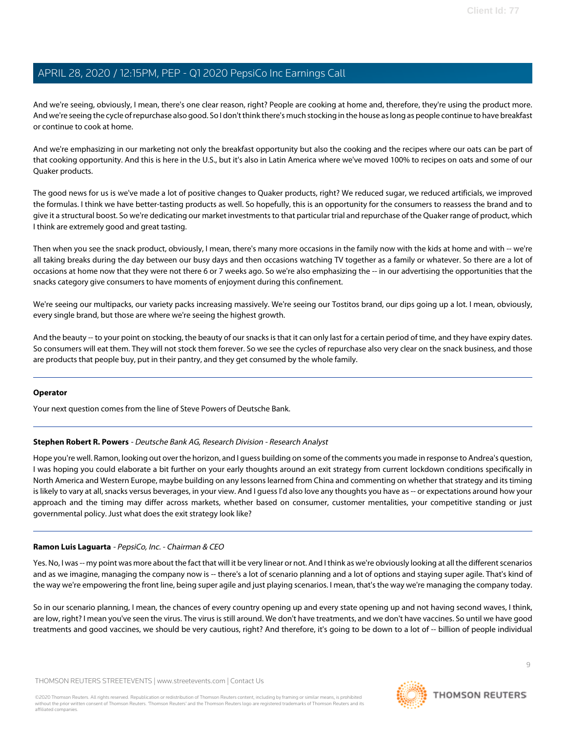And we're seeing, obviously, I mean, there's one clear reason, right? People are cooking at home and, therefore, they're using the product more. And we're seeing the cycle of repurchase also good. So I don't think there's much stocking in the house as long as people continue to have breakfast or continue to cook at home.

And we're emphasizing in our marketing not only the breakfast opportunity but also the cooking and the recipes where our oats can be part of that cooking opportunity. And this is here in the U.S., but it's also in Latin America where we've moved 100% to recipes on oats and some of our Quaker products.

The good news for us is we've made a lot of positive changes to Quaker products, right? We reduced sugar, we reduced artificials, we improved the formulas. I think we have better-tasting products as well. So hopefully, this is an opportunity for the consumers to reassess the brand and to give it a structural boost. So we're dedicating our market investments to that particular trial and repurchase of the Quaker range of product, which I think are extremely good and great tasting.

Then when you see the snack product, obviously, I mean, there's many more occasions in the family now with the kids at home and with -- we're all taking breaks during the day between our busy days and then occasions watching TV together as a family or whatever. So there are a lot of occasions at home now that they were not there 6 or 7 weeks ago. So we're also emphasizing the -- in our advertising the opportunities that the snacks category give consumers to have moments of enjoyment during this confinement.

We're seeing our multipacks, our variety packs increasing massively. We're seeing our Tostitos brand, our dips going up a lot. I mean, obviously, every single brand, but those are where we're seeing the highest growth.

And the beauty -- to your point on stocking, the beauty of our snacks is that it can only last for a certain period of time, and they have expiry dates. So consumers will eat them. They will not stock them forever. So we see the cycles of repurchase also very clear on the snack business, and those are products that people buy, put in their pantry, and they get consumed by the whole family.

#### <span id="page-8-0"></span>**Operator**

Your next question comes from the line of Steve Powers of Deutsche Bank.

## **Stephen Robert R. Powers** - Deutsche Bank AG, Research Division - Research Analyst

Hope you're well. Ramon, looking out over the horizon, and I guess building on some of the comments you made in response to Andrea's question, I was hoping you could elaborate a bit further on your early thoughts around an exit strategy from current lockdown conditions specifically in North America and Western Europe, maybe building on any lessons learned from China and commenting on whether that strategy and its timing is likely to vary at all, snacks versus beverages, in your view. And I guess I'd also love any thoughts you have as -- or expectations around how your approach and the timing may differ across markets, whether based on consumer, customer mentalities, your competitive standing or just governmental policy. Just what does the exit strategy look like?

## **Ramon Luis Laguarta** - PepsiCo, Inc. - Chairman & CEO

Yes. No, I was -- my point was more about the fact that will it be very linear or not. And I think as we're obviously looking at all the different scenarios and as we imagine, managing the company now is -- there's a lot of scenario planning and a lot of options and staying super agile. That's kind of the way we're empowering the front line, being super agile and just playing scenarios. I mean, that's the way we're managing the company today.

So in our scenario planning, I mean, the chances of every country opening up and every state opening up and not having second waves, I think, are low, right? I mean you've seen the virus. The virus is still around. We don't have treatments, and we don't have vaccines. So until we have good treatments and good vaccines, we should be very cautious, right? And therefore, it's going to be down to a lot of -- billion of people individual

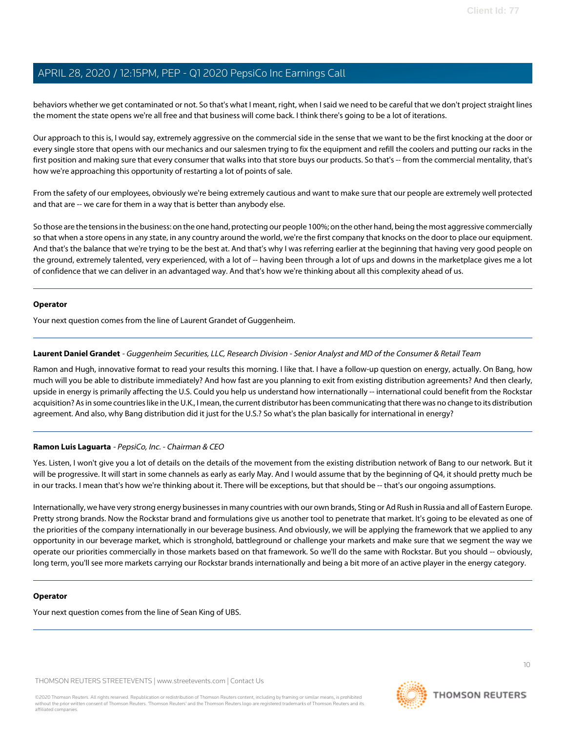behaviors whether we get contaminated or not. So that's what I meant, right, when I said we need to be careful that we don't project straight lines the moment the state opens we're all free and that business will come back. I think there's going to be a lot of iterations.

Our approach to this is, I would say, extremely aggressive on the commercial side in the sense that we want to be the first knocking at the door or every single store that opens with our mechanics and our salesmen trying to fix the equipment and refill the coolers and putting our racks in the first position and making sure that every consumer that walks into that store buys our products. So that's -- from the commercial mentality, that's how we're approaching this opportunity of restarting a lot of points of sale.

From the safety of our employees, obviously we're being extremely cautious and want to make sure that our people are extremely well protected and that are -- we care for them in a way that is better than anybody else.

So those are the tensions in the business: on the one hand, protecting our people 100%; on the other hand, being the most aggressive commercially so that when a store opens in any state, in any country around the world, we're the first company that knocks on the door to place our equipment. And that's the balance that we're trying to be the best at. And that's why I was referring earlier at the beginning that having very good people on the ground, extremely talented, very experienced, with a lot of -- having been through a lot of ups and downs in the marketplace gives me a lot of confidence that we can deliver in an advantaged way. And that's how we're thinking about all this complexity ahead of us.

#### **Operator**

<span id="page-9-0"></span>Your next question comes from the line of Laurent Grandet of Guggenheim.

## **Laurent Daniel Grandet** - Guggenheim Securities, LLC, Research Division - Senior Analyst and MD of the Consumer & Retail Team

Ramon and Hugh, innovative format to read your results this morning. I like that. I have a follow-up question on energy, actually. On Bang, how much will you be able to distribute immediately? And how fast are you planning to exit from existing distribution agreements? And then clearly, upside in energy is primarily affecting the U.S. Could you help us understand how internationally -- international could benefit from the Rockstar acquisition? As in some countries like in the U.K., I mean, the current distributor has been communicating that there was no change to its distribution agreement. And also, why Bang distribution did it just for the U.S.? So what's the plan basically for international in energy?

## **Ramon Luis Laguarta** - PepsiCo, Inc. - Chairman & CEO

Yes. Listen, I won't give you a lot of details on the details of the movement from the existing distribution network of Bang to our network. But it will be progressive. It will start in some channels as early as early May. And I would assume that by the beginning of Q4, it should pretty much be in our tracks. I mean that's how we're thinking about it. There will be exceptions, but that should be -- that's our ongoing assumptions.

Internationally, we have very strong energy businesses in many countries with our own brands, Sting or Ad Rush in Russia and all of Eastern Europe. Pretty strong brands. Now the Rockstar brand and formulations give us another tool to penetrate that market. It's going to be elevated as one of the priorities of the company internationally in our beverage business. And obviously, we will be applying the framework that we applied to any opportunity in our beverage market, which is stronghold, battleground or challenge your markets and make sure that we segment the way we operate our priorities commercially in those markets based on that framework. So we'll do the same with Rockstar. But you should -- obviously, long term, you'll see more markets carrying our Rockstar brands internationally and being a bit more of an active player in the energy category.

#### **Operator**

Your next question comes from the line of Sean King of UBS.

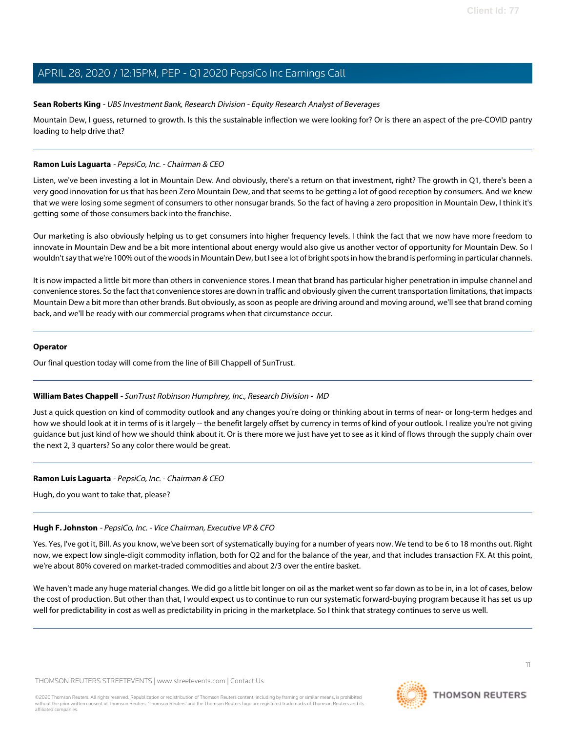#### <span id="page-10-0"></span>**Sean Roberts King** - UBS Investment Bank, Research Division - Equity Research Analyst of Beverages

Mountain Dew, I guess, returned to growth. Is this the sustainable inflection we were looking for? Or is there an aspect of the pre-COVID pantry loading to help drive that?

#### **Ramon Luis Laguarta** - PepsiCo, Inc. - Chairman & CEO

Listen, we've been investing a lot in Mountain Dew. And obviously, there's a return on that investment, right? The growth in Q1, there's been a very good innovation for us that has been Zero Mountain Dew, and that seems to be getting a lot of good reception by consumers. And we knew that we were losing some segment of consumers to other nonsugar brands. So the fact of having a zero proposition in Mountain Dew, I think it's getting some of those consumers back into the franchise.

Our marketing is also obviously helping us to get consumers into higher frequency levels. I think the fact that we now have more freedom to innovate in Mountain Dew and be a bit more intentional about energy would also give us another vector of opportunity for Mountain Dew. So I wouldn't say that we're 100% out of the woods in Mountain Dew, but I see a lot of bright spots in how the brand is performing in particular channels.

It is now impacted a little bit more than others in convenience stores. I mean that brand has particular higher penetration in impulse channel and convenience stores. So the fact that convenience stores are down in traffic and obviously given the current transportation limitations, that impacts Mountain Dew a bit more than other brands. But obviously, as soon as people are driving around and moving around, we'll see that brand coming back, and we'll be ready with our commercial programs when that circumstance occur.

#### **Operator**

<span id="page-10-1"></span>Our final question today will come from the line of Bill Chappell of SunTrust.

#### **William Bates Chappell** - SunTrust Robinson Humphrey, Inc., Research Division - MD

Just a quick question on kind of commodity outlook and any changes you're doing or thinking about in terms of near- or long-term hedges and how we should look at it in terms of is it largely -- the benefit largely offset by currency in terms of kind of your outlook. I realize you're not giving guidance but just kind of how we should think about it. Or is there more we just have yet to see as it kind of flows through the supply chain over the next 2, 3 quarters? So any color there would be great.

## **Ramon Luis Laguarta** - PepsiCo, Inc. - Chairman & CEO

Hugh, do you want to take that, please?

## **Hugh F. Johnston** - PepsiCo, Inc. - Vice Chairman, Executive VP & CFO

Yes. Yes, I've got it, Bill. As you know, we've been sort of systematically buying for a number of years now. We tend to be 6 to 18 months out. Right now, we expect low single-digit commodity inflation, both for Q2 and for the balance of the year, and that includes transaction FX. At this point, we're about 80% covered on market-traded commodities and about 2/3 over the entire basket.

We haven't made any huge material changes. We did go a little bit longer on oil as the market went so far down as to be in, in a lot of cases, below the cost of production. But other than that, I would expect us to continue to run our systematic forward-buying program because it has set us up well for predictability in cost as well as predictability in pricing in the marketplace. So I think that strategy continues to serve us well.